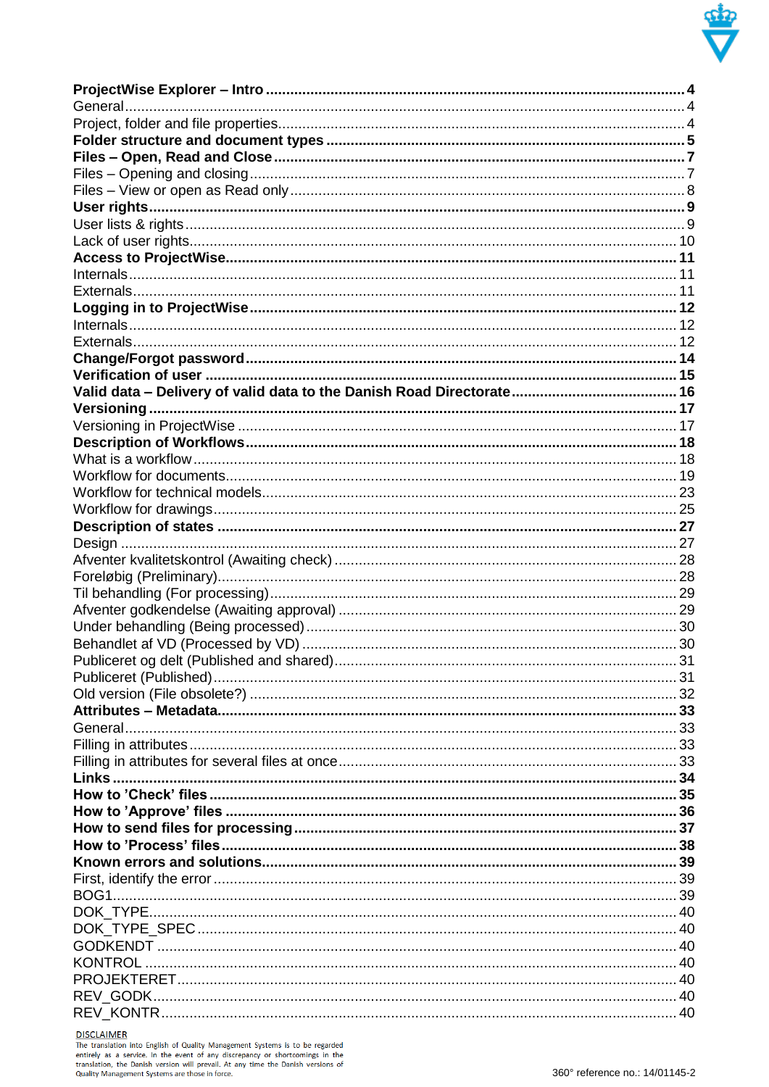

**DISCLAIMER**<br>The translation into English of Quality Management Systems is to be regarded<br>entirely as a service. In the event of any discrepancy or shortcomings in the<br>translation, the Danish version will prevail. At any t